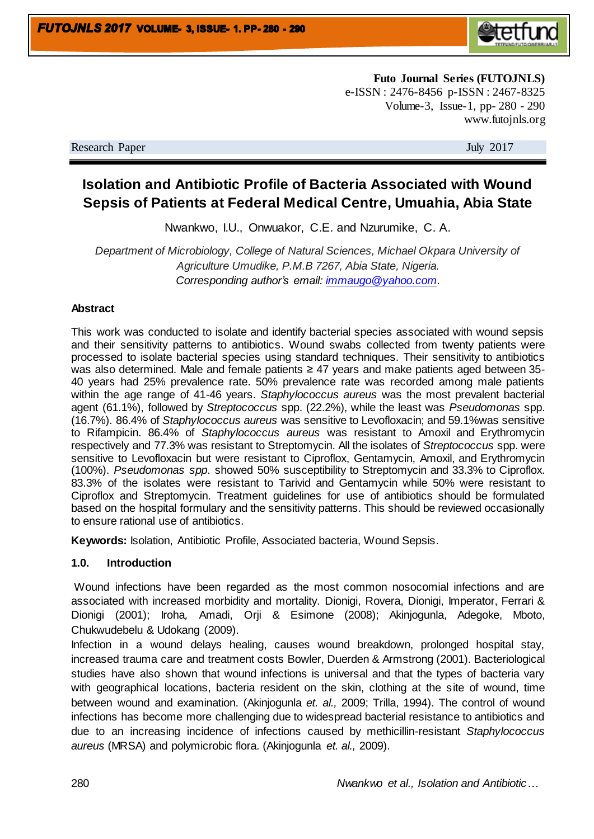

**Futo Journal Series (FUTOJNLS)** e-ISSN : 2476-8456 p-ISSN : 2467-8325 Volume-3, Issue-1, pp- 280 - 290 www.futojnls.org

Research Paper July 2017

# **Isolation and Antibiotic Profile of Bacteria Associated with Wound Sepsis of Patients at Federal Medical Centre, Umuahia, Abia State**

Nwankwo, I.U., Onwuakor, C.E. and Nzurumike, C. A.

*Department of Microbiology, College of Natural Sciences, Michael Okpara University of Agriculture Umudike, P.M.B 7267, Abia State, Nigeria. Corresponding author's email: [immaugo@yahoo.com.](mailto:immaugo@yahoo.com)* 

#### **Abstract**

This work was conducted to isolate and identify bacterial species associated with wound sepsis and their sensitivity patterns to antibiotics. Wound swabs collected from twenty patients were processed to isolate bacterial species using standard techniques. Their sensitivity to antibiotics was also determined. Male and female patients ≥ 47 years and make patients aged between 35- 40 years had 25% prevalence rate. 50% prevalence rate was recorded among male patients within the age range of 41-46 years. *Staphylococcus aureus* was the most prevalent bacterial agent (61.1%), followed by *Streptococcus* spp. (22.2%), while the least was *Pseudomonas* spp. (16.7%). 86.4% of *Staphylococcus aureus* was sensitive to Levofloxacin; and 59.1%was sensitive to Rifampicin. 86.4% of *Staphylococcus aureus* was resistant to Amoxil and Erythromycin respectively and 77.3% was resistant to Streptomycin. All the isolates of *Streptococcus* spp. were sensitive to Levofloxacin but were resistant to Ciproflox, Gentamycin, Amoxil, and Erythromycin (100%). *Pseudomonas spp*. showed 50% susceptibility to Streptomycin and 33.3% to Ciproflox. 83.3% of the isolates were resistant to Tarivid and Gentamycin while 50% were resistant to Ciproflox and Streptomycin. Treatment guidelines for use of antibiotics should be formulated based on the hospital formulary and the sensitivity patterns. This should be reviewed occasionally to ensure rational use of antibiotics.

**Keywords:** Isolation, Antibiotic Profile, Associated bacteria, Wound Sepsis.

#### **1.0. Introduction**

Wound infections have been regarded as the most common nosocomial infections and are associated with increased morbidity and mortality. Dionigi, Rovera, Dionigi, Imperator, Ferrari & Dionigi (2001); Iroha*,* Amadi, Orji & Esimone (2008); Akinjogunla, Adegoke, Mboto, Chukwudebelu & Udokang (2009).

Infection in a wound delays healing, causes wound breakdown, prolonged hospital stay, increased trauma care and treatment costs Bowler, Duerden & Armstrong (2001). Bacteriological studies have also shown that wound infections is universal and that the types of bacteria vary with geographical locations, bacteria resident on the skin, clothing at the site of wound, time between wound and examination. (Akinjogunla *et. al.,* 2009; Trilla, 1994). The control of wound infections has become more challenging due to widespread bacterial resistance to antibiotics and due to an increasing incidence of infections caused by methicillin-resistant *Staphylococcus aureus* (MRSA) and polymicrobic flora. (Akinjogunla *et. al.,* 2009).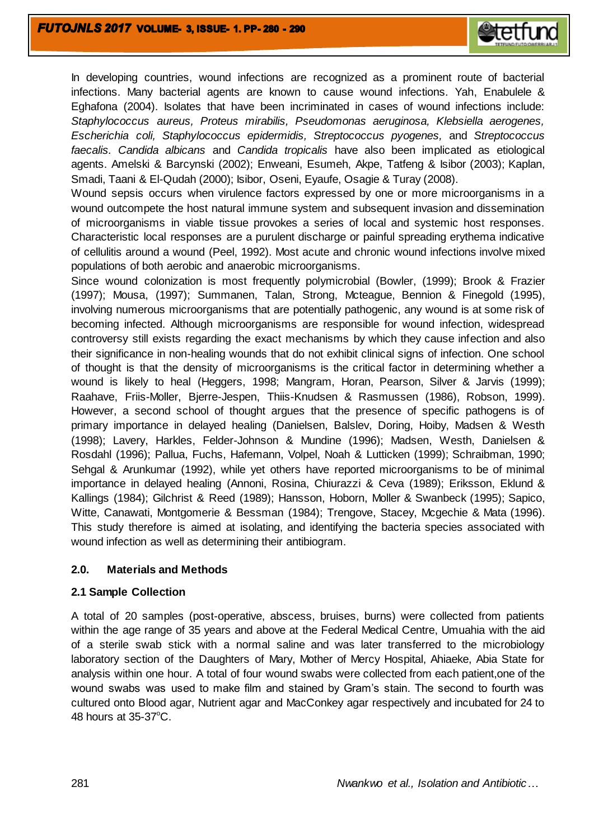In developing countries, wound infections are recognized as a prominent route of bacterial infections. Many bacterial agents are known to cause wound infections. Yah, Enabulele & Eghafona (2004). Isolates that have been incriminated in cases of wound infections include: *Staphylococcus aureus, Proteus mirabilis, Pseudomonas aeruginosa, Klebsiella aerogenes, Escherichia coli, Staphylococcus epidermidis, Streptococcus pyogenes,* and *Streptococcus faecalis. Candida albicans* and *Candida tropicalis* have also been implicated as etiological agents. Amelski & Barcynski (2002); Enweani, Esumeh, Akpe, Tatfeng & Isibor (2003); Kaplan, Smadi, Taani & El-Qudah (2000); Isibor, Oseni, Eyaufe, Osagie & Turay (2008).

Wound sepsis occurs when virulence factors expressed by one or more microorganisms in a wound outcompete the host natural immune system and subsequent invasion and dissemination of microorganisms in viable tissue provokes a series of local and systemic host responses. Characteristic local responses are a purulent discharge or painful spreading erythema indicative of cellulitis around a wound (Peel, 1992). Most acute and chronic wound infections involve mixed populations of both aerobic and anaerobic microorganisms.

Since wound colonization is most frequently polymicrobial (Bowler, (1999); Brook & Frazier (1997); Mousa, (1997); Summanen, Talan, Strong, Mcteague, Bennion & Finegold (1995), involving numerous microorganisms that are potentially pathogenic, any wound is at some risk of becoming infected. Although microorganisms are responsible for wound infection, widespread controversy still exists regarding the exact mechanisms by which they cause infection and also their significance in non-healing wounds that do not exhibit clinical signs of infection. One school of thought is that the density of microorganisms is the critical factor in determining whether a wound is likely to heal (Heggers, 1998; Mangram, Horan, Pearson, Silver & Jarvis (1999); Raahave, Friis-Moller, Bjerre-Jespen, Thiis-Knudsen & Rasmussen (1986), Robson, 1999). However, a second school of thought argues that the presence of specific pathogens is of primary importance in delayed healing (Danielsen, Balslev, Doring, Hoiby, Madsen & Westh (1998); Lavery, Harkles, Felder-Johnson & Mundine (1996); Madsen, Westh, Danielsen & Rosdahl (1996); Pallua, Fuchs, Hafemann, Volpel, Noah & Lutticken (1999); Schraibman, 1990; Sehgal & Arunkumar (1992), while yet others have reported microorganisms to be of minimal importance in delayed healing (Annoni, Rosina, Chiurazzi & Ceva (1989); Eriksson, Eklund & Kallings (1984); Gilchrist & Reed (1989); Hansson, Hoborn, Moller & Swanbeck (1995); Sapico, Witte, Canawati, Montgomerie & Bessman (1984); Trengove, Stacey, Mcgechie & Mata (1996). This study therefore is aimed at isolating, and identifying the bacteria species associated with wound infection as well as determining their antibiogram.

#### **2.0. Materials and Methods**

#### **2.1 Sample Collection**

A total of 20 samples (post-operative, abscess, bruises, burns) were collected from patients within the age range of 35 years and above at the Federal Medical Centre, Umuahia with the aid of a sterile swab stick with a normal saline and was later transferred to the microbiology laboratory section of the Daughters of Mary, Mother of Mercy Hospital, Ahiaeke, Abia State for analysis within one hour. A total of four wound swabs were collected from each patient,one of the wound swabs was used to make film and stained by Gram's stain. The second to fourth was cultured onto Blood agar, Nutrient agar and MacConkey agar respectively and incubated for 24 to 48 hours at  $35-37^{\circ}$ C.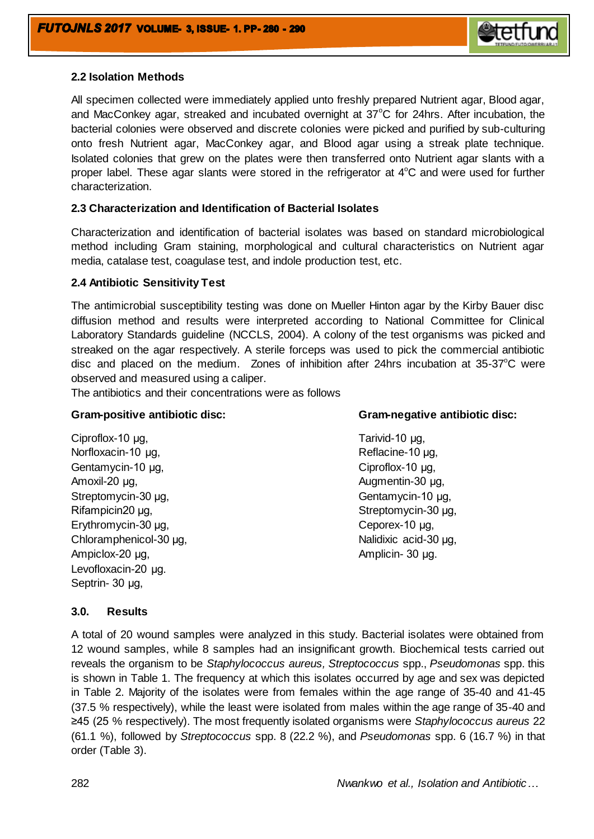

### **2.2 Isolation Methods**

All specimen collected were immediately applied unto freshly prepared Nutrient agar, Blood agar, and MacConkey agar, streaked and incubated overnight at  $37^{\circ}$ C for 24hrs. After incubation, the bacterial colonies were observed and discrete colonies were picked and purified by sub-culturing onto fresh Nutrient agar, MacConkey agar, and Blood agar using a streak plate technique. Isolated colonies that grew on the plates were then transferred onto Nutrient agar slants with a proper label. These agar slants were stored in the refrigerator at  $4^{\circ}$ C and were used for further characterization.

#### **2.3 Characterization and Identification of Bacterial Isolates**

Characterization and identification of bacterial isolates was based on standard microbiological method including Gram staining, morphological and cultural characteristics on Nutrient agar media, catalase test, coagulase test, and indole production test, etc.

#### **2.4 Antibiotic Sensitivity Test**

The antimicrobial susceptibility testing was done on Mueller Hinton agar by the Kirby Bauer disc diffusion method and results were interpreted according to National Committee for Clinical Laboratory Standards guideline (NCCLS, 2004). A colony of the test organisms was picked and streaked on the agar respectively. A sterile forceps was used to pick the commercial antibiotic disc and placed on the medium. Zones of inhibition after 24hrs incubation at  $35-37^{\circ}$ C were observed and measured using a caliper.

The antibiotics and their concentrations were as follows

Ciproflox-10 μg, Tarivid-10 μg, Norfloxacin-10 μg, Reflacine-10 μg, Gentamycin-10 μg, Ciproflox-10 μg, Amoxil-20 μg, **Augmentin-30 μg**, **Augmentin-30 μg**, Streptomycin-30 μg, Gentamycin-10 μg, Gentamycin-10 μg, Rifampicin20 μg, Streptomycin-30 μg, Streptomycin-30 μg, Erythromycin-30 μg, Ceporex-10 μg, Chloramphenicol-30 μg, Nalidixic acid-30 μg, Ampiclox-20 μg, and a control of the Amplicin- 30 μg. Levofloxacin-20 μg. Septrin- 30 μg,

### **Gram-positive antibiotic disc: Gram-negative antibiotic disc:**

#### **3.0. Results**

A total of 20 wound samples were analyzed in this study. Bacterial isolates were obtained from 12 wound samples, while 8 samples had an insignificant growth. Biochemical tests carried out reveals the organism to be *Staphylococcus aureus, Streptococcus* spp., *Pseudomonas* spp. this is shown in Table 1. The frequency at which this isolates occurred by age and sex was depicted in Table 2. Majority of the isolates were from females within the age range of 35-40 and 41-45 (37.5 % respectively), while the least were isolated from males within the age range of 35-40 and ≥45 (25 % respectively). The most frequently isolated organisms were *Staphylococcus aureus* 22 (61.1 %), followed by *Streptococcus* spp. 8 (22.2 %), and *Pseudomonas* spp. 6 (16.7 %) in that order (Table 3).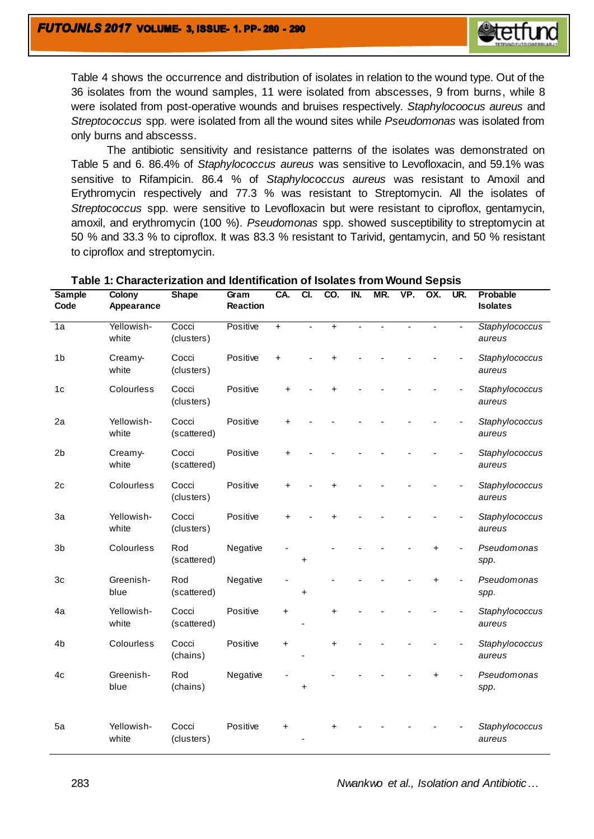

Table 4 shows the occurrence and distribution of isolates in relation to the wound type. Out of the 36 isolates from the wound samples, 11 were isolated from abscesses, 9 from burns, while 8 were isolated from post-operative wounds and bruises respectively. *Staphylocoocus aureus* and *Streptococcus* spp. were isolated from all the wound sites while *Pseudomonas* was isolated from only burns and abscesss.

The antibiotic sensitivity and resistance patterns of the isolates was demonstrated on Table 5 and 6. 86.4% of *Staphylococcus aureus* was sensitive to Levofloxacin, and 59.1% was sensitive to Rifampicin. 86.4 % of *Staphylococcus aureus* was resistant to Amoxil and Erythromycin respectively and 77.3 % was resistant to Streptomycin. All the isolates of *Streptococcus* spp. were sensitive to Levofloxacin but were resistant to ciproflox, gentamycin, amoxil, and erythromycin (100 %). *Pseudomonas* spp. showed susceptibility to streptomycin at 50 % and 33.3 % to ciproflox. It was 83.3 % resistant to Tarivid, gentamycin, and 50 % resistant to ciproflox and streptomycin.

| <b>Sample</b><br>Code | Colony<br>Appearance | <b>Shape</b>         | Gram<br><b>Reaction</b> | CA.       | CI.       | CO.       | IN. | MR. | VP. | OX.       | UR. | <b>Probable</b><br><b>Isolates</b> |
|-----------------------|----------------------|----------------------|-------------------------|-----------|-----------|-----------|-----|-----|-----|-----------|-----|------------------------------------|
| 1a                    | Yellowish-<br>white  | Cocci<br>(clusters)  | Positive                | $\ddot{}$ |           | $\ddot{}$ |     |     |     |           |     | Staphylococcus<br>aureus           |
| 1 <sub>b</sub>        | Creamy-<br>white     | Cocci<br>(clusters)  | Positive                | $\ddot{}$ |           |           |     |     |     |           |     | Staphylococcus<br>aureus           |
| 1 <sub>c</sub>        | Colourless           | Cocci<br>(clusters)  | Positive                | ÷         |           |           |     |     |     |           |     | Staphylococcus<br>aureus           |
| 2a                    | Yellowish-<br>white  | Cocci<br>(scattered) | Positive                |           |           |           |     |     |     |           |     | Staphylococcus<br>aureus           |
| 2 <sub>b</sub>        | Creamy-<br>white     | Cocci<br>(scattered) | Positive                |           |           |           |     |     |     |           |     | Staphylococcus<br>aureus           |
| 2c                    | Colourless           | Cocci<br>(clusters)  | Positive                | $\ddot{}$ |           |           |     |     |     |           |     | Staphylococcus<br>aureus           |
| 3a                    | Yellowish-<br>white  | Cocci<br>(clusters)  | Positive                |           |           |           |     |     |     |           |     | Staphylococcus<br>aureus           |
| 3b                    | Colourless           | Rod<br>(scattered)   | Negative                |           | $\ddot{}$ |           |     |     |     | $\ddot{}$ |     | Pseudomonas<br>spp.                |
| 3c                    | Greenish-<br>blue    | Rod<br>(scattered)   | Negative                |           | $\ddot{}$ |           |     |     |     | +         |     | Pseudomonas<br>spp.                |
| 4a                    | Yellowish-<br>white  | Cocci<br>(scattered) | Positive                | $\ddot{}$ |           | $\ddot{}$ |     |     |     |           |     | Staphylococcus<br>aureus           |
| 4 <sub>b</sub>        | Colourless           | Cocci<br>(chains)    | Positive                | $\ddot{}$ |           | $\ddot{}$ |     |     |     |           |     | Staphylococcus<br>aureus           |
| 4c                    | Greenish-<br>blue    | Rod<br>(chains)      | Negative                |           |           |           |     |     |     |           |     | Pseudomonas<br>spp.                |
| 5a                    | Yellowish-<br>white  | Cocci<br>(clusters)  | Positive                | +         |           |           |     |     |     |           |     | Staphylococcus<br>aureus           |

#### **Table 1: Characterization and Identification of Isolates from Wound Sepsis**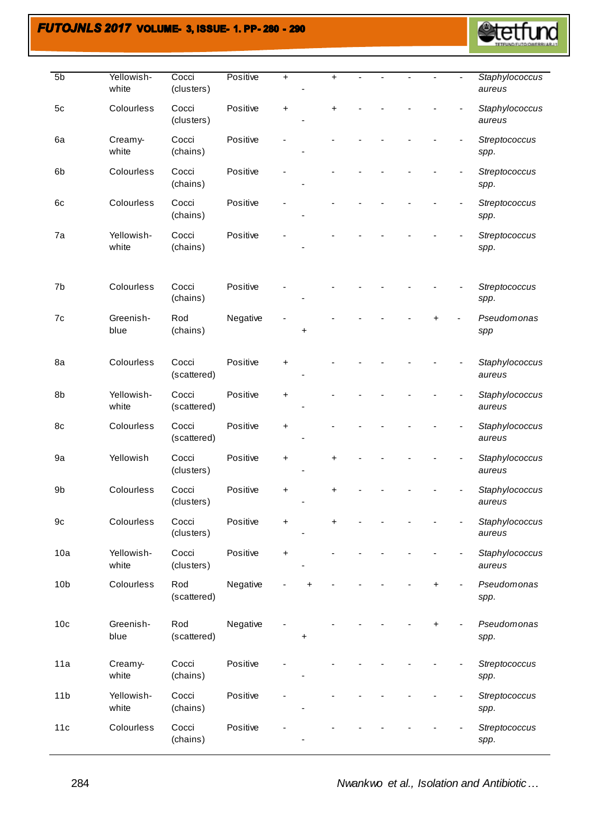# **FUTOJNLS 2017 VOLUME- 3, ISSUE- 1. PP-280 - 290**



| 5 <sub>b</sub>  | Yellowish-<br>white | Cocci<br>(clusters)  | Positive | $\ddot{}$ |   | +         |  |           | Staphylococcus<br>aureus |
|-----------------|---------------------|----------------------|----------|-----------|---|-----------|--|-----------|--------------------------|
| 5c              | Colourless          | Cocci<br>(clusters)  | Positive | $\ddot{}$ |   | $\ddot{}$ |  |           | Staphylococcus<br>aureus |
| 6a              | Creamy-<br>white    | Cocci<br>(chains)    | Positive |           |   |           |  |           | Streptococcus<br>spp.    |
| 6b              | Colourless          | Cocci<br>(chains)    | Positive |           |   |           |  |           | Streptococcus<br>spp.    |
| 6c              | Colourless          | Cocci<br>(chains)    | Positive |           |   |           |  |           | Streptococcus<br>spp.    |
| 7a              | Yellowish-<br>white | Cocci<br>(chains)    | Positive |           |   |           |  |           | Streptococcus<br>spp.    |
| 7b              | Colourless          | Cocci<br>(chains)    | Positive |           |   |           |  |           | Streptococcus<br>spp.    |
| 7c              | Greenish-<br>blue   | Rod<br>(chains)      | Negative |           | + |           |  |           | Pseudomonas<br>spp       |
| 8a              | Colourless          | Cocci<br>(scattered) | Positive | +         |   |           |  |           | Staphylococcus<br>aureus |
| 8b              | Yellowish-<br>white | Cocci<br>(scattered) | Positive | +         |   |           |  |           | Staphylococcus<br>aureus |
| 8c              | Colourless          | Cocci<br>(scattered) | Positive | +         |   |           |  |           | Staphylococcus<br>aureus |
| 9a              | Yellowish           | Cocci<br>(clusters)  | Positive | +         |   | +         |  |           | Staphylococcus<br>aureus |
| 9b              | Colourless          | Cocci<br>(clusters)  | Positive | +         |   | +         |  |           | Staphylococcus<br>aureus |
| 9c              | Colourless          | Cocci<br>(clusters)  | Positive | +         |   | +         |  |           | Staphylococcus<br>aureus |
| 10a             | Yellowish-<br>white | Cocci<br>(clusters)  | Positive | $\ddot{}$ |   |           |  |           | Staphylococcus<br>aureus |
| 10 <sub>b</sub> | Colourless          | Rod<br>(scattered)   | Negative |           |   |           |  | $\ddot{}$ | Pseudomonas<br>spp.      |
| 10 <sub>c</sub> | Greenish-<br>blue   | Rod<br>(scattered)   | Negative |           | + |           |  | +         | Pseudomonas<br>spp.      |
| 11a             | Creamy-<br>white    | Cocci<br>(chains)    | Positive |           |   |           |  |           | Streptococcus<br>spp.    |
| 11 <sub>b</sub> | Yellowish-<br>white | Cocci<br>(chains)    | Positive |           |   |           |  |           | Streptococcus<br>spp.    |
| 11c             | Colourless          | Cocci<br>(chains)    | Positive |           |   |           |  |           | Streptococcus<br>spp.    |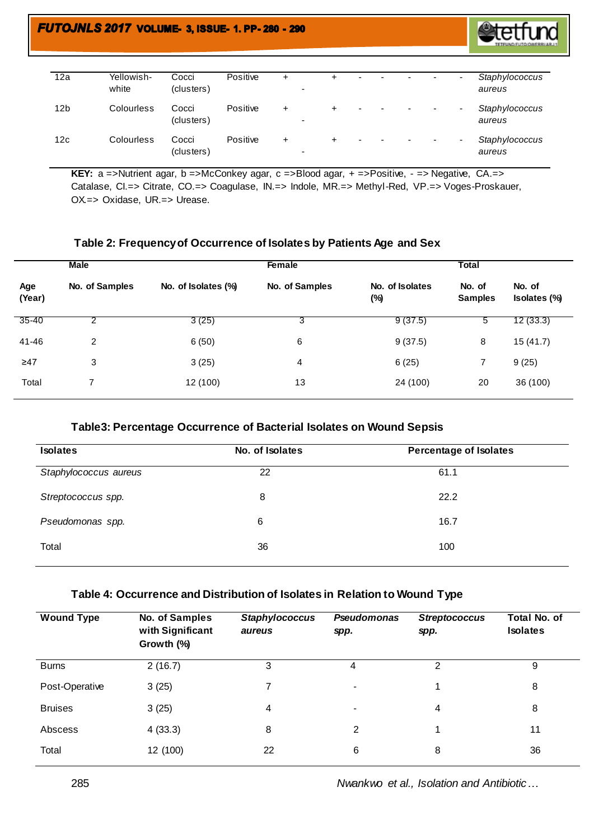

| 12a | Yellowish-<br>white | Cocci<br>(clusters) | Positive | + | $\overline{\phantom{0}}$ | ÷ | $\overline{\phantom{a}}$ |   |                          |                          | $\overline{\phantom{a}}$ | Staphylococcus<br>aureus |
|-----|---------------------|---------------------|----------|---|--------------------------|---|--------------------------|---|--------------------------|--------------------------|--------------------------|--------------------------|
| 12b | Colourless          | Cocci<br>(clusters) | Positive | + | $\overline{\phantom{0}}$ | ÷ | ٠                        | ۰ | $\overline{\phantom{a}}$ | $\overline{\phantom{a}}$ | $\overline{\phantom{a}}$ | Staphylococcus<br>aureus |
| 12c | Colourless          | Cocci<br>(clusters) | Positive | + | $\overline{\phantom{0}}$ | ÷ | ٠                        |   |                          |                          |                          | Staphylococcus<br>aureus |

KEY: a =>Nutrient agar, b =>McConkey agar, c =>Blood agar, + =>Positive, - => Negative, CA.=> Catalase, CI.=> Citrate, CO.=> Coagulase, IN.=> Indole, MR.=> Methyl-Red, VP.=> Voges-Proskauer, OX.=> Oxidase, UR.=> Urease.

#### **Table 2: Frequency of Occurrence of Isolates by Patients Age and Sex**

|               | <b>Male</b>    |                     | Female         |                           | <b>Total</b>             |                        |
|---------------|----------------|---------------------|----------------|---------------------------|--------------------------|------------------------|
| Age<br>(Year) | No. of Samples | No. of Isolates (%) | No. of Samples | No. of Isolates<br>$(\%)$ | No. of<br><b>Samples</b> | No. of<br>Isolates (%) |
| $35 - 40$     |                | 3(25)               | 3              | 9(37.5)                   | 5                        | 12(33.3)               |
| 41-46         | 2              | 6(50)               | 6              | 9(37.5)                   | 8                        | 15(41.7)               |
| ≥47           | 3              | 3(25)               | 4              | 6(25)                     | 7                        | 9(25)                  |
| Total         |                | 12 (100)            | 13             | 24 (100)                  | 20                       | 36 (100)               |
|               |                |                     |                |                           |                          |                        |

#### **Table3: Percentage Occurrence of Bacterial Isolates on Wound Sepsis**

| <b>Isolates</b>       | No. of Isolates | <b>Percentage of Isolates</b> |
|-----------------------|-----------------|-------------------------------|
| Staphylococcus aureus | 22              | 61.1                          |
| Streptococcus spp.    | 8               | 22.2                          |
| Pseudomonas spp.      | 6               | 16.7                          |
| Total                 | 36              | 100                           |
|                       |                 |                               |

### **Table 4: Occurrence and Distribution of Isolates in Relation to Wound Type**

| <b>Wound Type</b> | No. of Samples<br>with Significant<br>Growth (%) | <b>Staphylococcus</b><br>aureus | Pseudomonas<br>spp. | <b>Streptococcus</b><br>spp. | <b>Total No. of</b><br><b>Isolates</b> |
|-------------------|--------------------------------------------------|---------------------------------|---------------------|------------------------------|----------------------------------------|
| <b>Burns</b>      | 2(16.7)                                          | 3                               | 4                   | 2                            | 9                                      |
| Post-Operative    | 3(25)                                            | 7                               | ۰.                  |                              | 8                                      |
| <b>Bruises</b>    | 3(25)                                            | 4                               |                     | 4                            | 8                                      |
| Abscess           | 4(33.3)                                          | 8                               | $\overline{2}$      |                              | 11                                     |
| Total             | 12 (100)                                         | 22                              | 6                   | 8                            | 36                                     |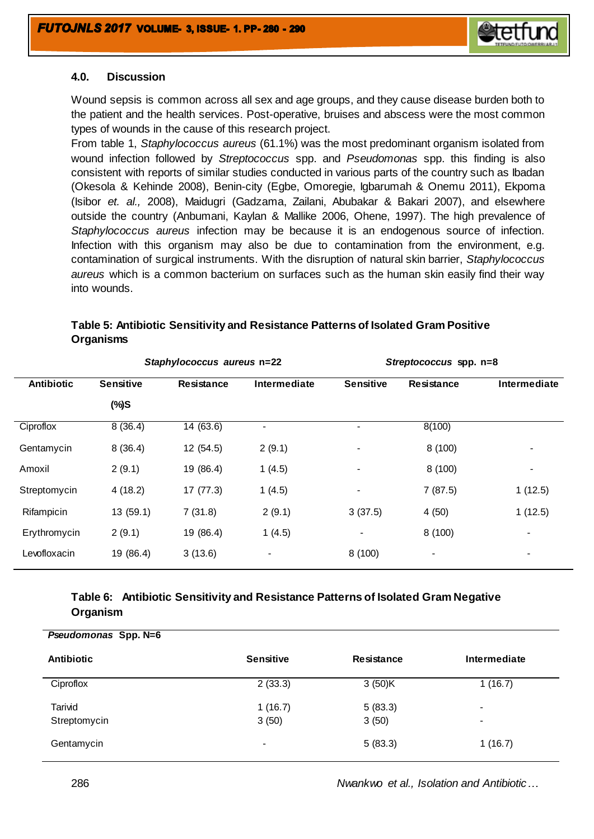

#### **4.0. Discussion**

Wound sepsis is common across all sex and age groups, and they cause disease burden both to the patient and the health services. Post-operative, bruises and abscess were the most common types of wounds in the cause of this research project.

From table 1, *Staphylococcus aureus* (61.1%) was the most predominant organism isolated from wound infection followed by *Streptococcus* spp. and *Pseudomonas* spp. this finding is also consistent with reports of similar studies conducted in various parts of the country such as Ibadan (Okesola & Kehinde 2008), Benin-city (Egbe, Omoregie, Igbarumah & Onemu 2011), Ekpoma (Isibor *et. al.,* 2008), Maidugri (Gadzama, Zailani, Abubakar & Bakari 2007), and elsewhere outside the country (Anbumani, Kaylan & Mallike 2006, Ohene, 1997). The high prevalence of *Staphylococcus aureus* infection may be because it is an endogenous source of infection. Infection with this organism may also be due to contamination from the environment, e.g. contamination of surgical instruments. With the disruption of natural skin barrier, *Staphylococcus aureus* which is a common bacterium on surfaces such as the human skin easily find their way into wounds.

# **Table 5: Antibiotic Sensitivity and Resistance Patterns of Isolated Gram Positive Organisms**

|                   |                  | Staphylococcus aureus n=22 |                | Streptococcus spp. n=8   |                   |                |  |  |
|-------------------|------------------|----------------------------|----------------|--------------------------|-------------------|----------------|--|--|
| <b>Antibiotic</b> | <b>Sensitive</b> | <b>Resistance</b>          | Intermediate   | <b>Sensitive</b>         | <b>Resistance</b> | Intermediate   |  |  |
|                   | $(\%)S$          |                            |                |                          |                   |                |  |  |
| Ciproflox         | 8(36.4)          | 14 (63.6)                  |                | $\overline{\phantom{0}}$ | 8(100)            |                |  |  |
| Gentamycin        | 8(36.4)          | 12 (54.5)                  | 2(9.1)         | $\overline{\phantom{0}}$ | 8(100)            |                |  |  |
| Amoxil            | 2(9.1)           | 19 (86.4)                  | 1(4.5)         | $\overline{\phantom{0}}$ | 8(100)            |                |  |  |
| Streptomycin      | 4(18.2)          | 17(77.3)                   | 1(4.5)         | $\blacksquare$           | 7(87.5)           | 1(12.5)        |  |  |
| Rifampicin        | 13 (59.1)        | 7(31.8)                    | 2(9.1)         | 3(37.5)                  | 4(50)             | 1(12.5)        |  |  |
| Erythromycin      | 2(9.1)           | 19 (86.4)                  | 1(4.5)         | -                        | 8(100)            | $\blacksquare$ |  |  |
| Levofloxacin      | 19 (86.4)        | 3(13.6)                    | $\blacksquare$ | 8(100)                   |                   | $\blacksquare$ |  |  |

# **Table 6: Antibiotic Sensitivity and Resistance Patterns of Isolated Gram Negative Organism**

| Pseudomonas Spp. N=6 |                          |            |              |
|----------------------|--------------------------|------------|--------------|
| <b>Antibiotic</b>    | <b>Sensitive</b>         | Resistance | Intermediate |
| Ciproflox            | 2(33.3)                  | 3(50)K     | 1(16.7)      |
| Tarivid              | 1(16.7)                  | 5(83.3)    | $\,$         |
| Streptomycin         | 3(50)                    | 3(50)      | $\,$         |
| Gentamycin           | $\overline{\phantom{a}}$ | 5(83.3)    | 1(16.7)      |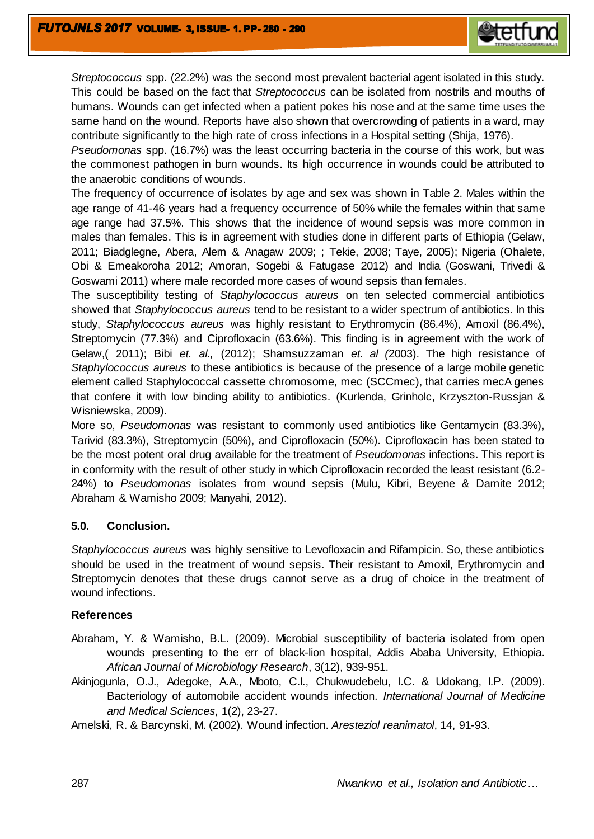*Streptococcus* spp. (22.2%) was the second most prevalent bacterial agent isolated in this study. This could be based on the fact that *Streptococcus* can be isolated from nostrils and mouths of humans. Wounds can get infected when a patient pokes his nose and at the same time uses the same hand on the wound. Reports have also shown that overcrowding of patients in a ward, may contribute significantly to the high rate of cross infections in a Hospital setting (Shija, 1976).

*Pseudomonas* spp. (16.7%) was the least occurring bacteria in the course of this work, but was the commonest pathogen in burn wounds. Its high occurrence in wounds could be attributed to the anaerobic conditions of wounds.

The frequency of occurrence of isolates by age and sex was shown in Table 2. Males within the age range of 41-46 years had a frequency occurrence of 50% while the females within that same age range had 37.5%. This shows that the incidence of wound sepsis was more common in males than females. This is in agreement with studies done in different parts of Ethiopia (Gelaw, 2011; Biadglegne, Abera, Alem & Anagaw 2009; ; Tekie, 2008; Taye, 2005); Nigeria (Ohalete, Obi & Emeakoroha 2012; Amoran, Sogebi & Fatugase 2012) and India (Goswani, Trivedi & Goswami 2011) where male recorded more cases of wound sepsis than females.

The susceptibility testing of *Staphylococcus aureus* on ten selected commercial antibiotics showed that *Staphylococcus aureus* tend to be resistant to a wider spectrum of antibiotics. In this study, *Staphylococcus aureus* was highly resistant to Erythromycin (86.4%), Amoxil (86.4%), Streptomycin (77.3%) and Ciprofloxacin (63.6%). This finding is in agreement with the work of Gelaw,( 2011); Bibi *et. al.,* (2012); Shamsuzzaman *et. al (*2003). The high resistance of *Staphylococcus aureus* to these antibiotics is because of the presence of a large mobile genetic element called Staphylococcal cassette chromosome, mec (SCCmec), that carries mecA genes that confere it with low binding ability to antibiotics. (Kurlenda, Grinholc, Krzyszton-Russjan & Wisniewska, 2009).

More so, *Pseudomonas* was resistant to commonly used antibiotics like Gentamycin (83.3%), Tarivid (83.3%), Streptomycin (50%), and Ciprofloxacin (50%). Ciprofloxacin has been stated to be the most potent oral drug available for the treatment of *Pseudomonas* infections. This report is in conformity with the result of other study in which Ciprofloxacin recorded the least resistant (6.2- 24%) to *Pseudomonas* isolates from wound sepsis (Mulu, Kibri, Beyene & Damite 2012; Abraham & Wamisho 2009; Manyahi, 2012).

# **5.0. Conclusion.**

*Staphylococcus aureus* was highly sensitive to Levofloxacin and Rifampicin. So, these antibiotics should be used in the treatment of wound sepsis. Their resistant to Amoxil, Erythromycin and Streptomycin denotes that these drugs cannot serve as a drug of choice in the treatment of wound infections.

# **References**

- Abraham, Y. & Wamisho, B.L. (2009). Microbial susceptibility of bacteria isolated from open wounds presenting to the err of black-lion hospital, Addis Ababa University, Ethiopia. *African Journal of Microbiology Research*, 3(12), 939-951.
- Akinjogunla, O.J., Adegoke, A.A., Mboto, C.I., Chukwudebelu, I.C. & Udokang, I.P. (2009). Bacteriology of automobile accident wounds infection. *International Journal of Medicine and Medical Sciences,* 1(2), 23-27.

Amelski, R. & Barcynski, M. (2002). Wound infection. *Aresteziol reanimatol*, 14, 91-93.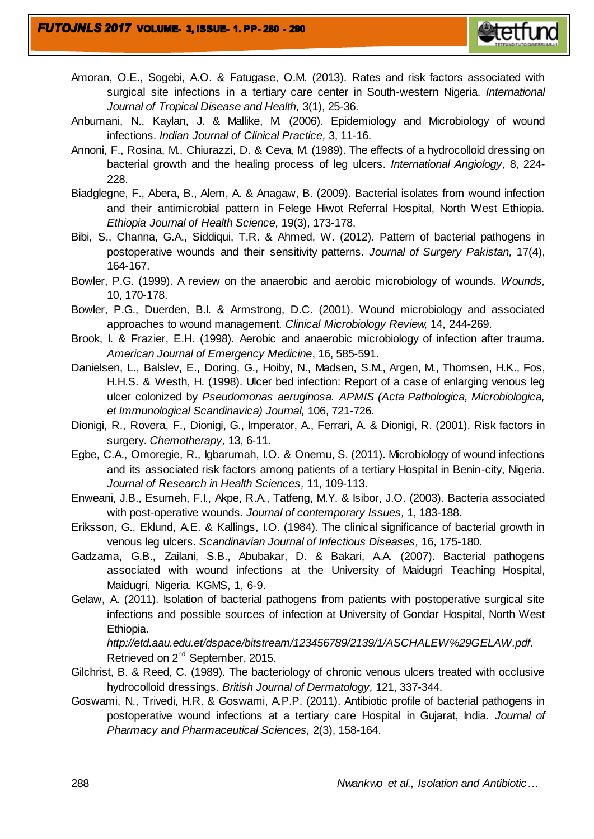

- Amoran, O.E., Sogebi, A.O. & Fatugase, O.M. (2013). Rates and risk factors associated with surgical site infections in a tertiary care center in South-western Nigeria. *International Journal of Tropical Disease and Health,* 3(1), 25-36.
- Anbumani, N., Kaylan, J. & Mallike, M. (2006). Epidemiology and Microbiology of wound infections. *Indian Journal of Clinical Practice,* 3, 11-16.
- Annoni, F., Rosina, M., Chiurazzi, D. & Ceva, M. (1989). The effects of a hydrocolloid dressing on bacterial growth and the healing process of leg ulcers. *International Angiology,* 8, 224- 228.
- Biadglegne, F., Abera, B., Alem, A. & Anagaw, B. (2009). Bacterial isolates from wound infection and their antimicrobial pattern in Felege Hiwot Referral Hospital, North West Ethiopia. *Ethiopia Journal of Health Science,* 19(3), 173-178.
- Bibi, S., Channa, G.A., Siddiqui, T.R. & Ahmed, W. (2012). Pattern of bacterial pathogens in postoperative wounds and their sensitivity patterns. *Journal of Surgery Pakistan,* 17(4), 164-167.
- Bowler, P.G. (1999). A review on the anaerobic and aerobic microbiology of wounds. *Wounds,* 10, 170-178.
- Bowler, P.G., Duerden, B.I. & Armstrong, D.C. (2001). Wound microbiology and associated approaches to wound management. *Clinical Microbiology Review,* 14, 244-269.
- Brook, I. & Frazier, E.H. (1998). Aerobic and anaerobic microbiology of infection after trauma. *American Journal of Emergency Medicine*, 16, 585-591.
- Danielsen, L., Balslev, E., Doring, G., Hoiby, N., Madsen, S.M., Argen, M., Thomsen, H.K., Fos, H.H.S. & Westh, H. (1998). Ulcer bed infection: Report of a case of enlarging venous leg ulcer colonized by *Pseudomonas aeruginosa. APMIS (Acta Pathologica, Microbiologica, et Immunological Scandinavica) Journal,* 106, 721-726.
- Dionigi, R., Rovera, F., Dionigi, G., Imperator, A., Ferrari, A. & Dionigi, R. (2001). Risk factors in surgery. *Chemotherapy,* 13, 6-11.
- Egbe, C.A., Omoregie, R., Igbarumah, I.O. & Onemu, S. (2011). Microbiology of wound infections and its associated risk factors among patients of a tertiary Hospital in Benin-city, Nigeria. *Journal of Research in Health Sciences,* 11, 109-113.
- Enweani, J.B., Esumeh, F.I., Akpe, R.A., Tatfeng, M.Y. & Isibor, J.O. (2003). Bacteria associated with post-operative wounds. *Journal of contemporary Issues,* 1, 183-188.
- Eriksson, G., Eklund, A.E. & Kallings, I.O. (1984). The clinical significance of bacterial growth in venous leg ulcers. *Scandinavian Journal of Infectious Diseases,* 16, 175-180.
- Gadzama, G.B., Zailani, S.B., Abubakar, D. & Bakari, A.A. (2007). Bacterial pathogens associated with wound infections at the University of Maidugri Teaching Hospital, Maidugri, Nigeria. KGMS, 1, 6-9.
- Gelaw, A. (2011). Isolation of bacterial pathogens from patients with postoperative surgical site infections and possible sources of infection at University of Gondar Hospital, North West Ethiopia.

*[http://etd.aau.edu.et/dspace/bitstream/123456789/2139/1/ASCHALEW%29GELAW.pdf.](http://etd.aau.edu.et/dspace/bitstream/123456789/2139/1/ASCHALEW%29GELAW.pdf)*  Retrieved on 2<sup>nd</sup> September, 2015.

- Gilchrist, B. & Reed, C. (1989). The bacteriology of chronic venous ulcers treated with occlusive hydrocolloid dressings. *British Journal of Dermatology,* 121, 337-344.
- Goswami, N., Trivedi, H.R. & Goswami, A.P.P. (2011). Antibiotic profile of bacterial pathogens in postoperative wound infections at a tertiary care Hospital in Gujarat, India. *Journal of Pharmacy and Pharmaceutical Sciences,* 2(3), 158-164.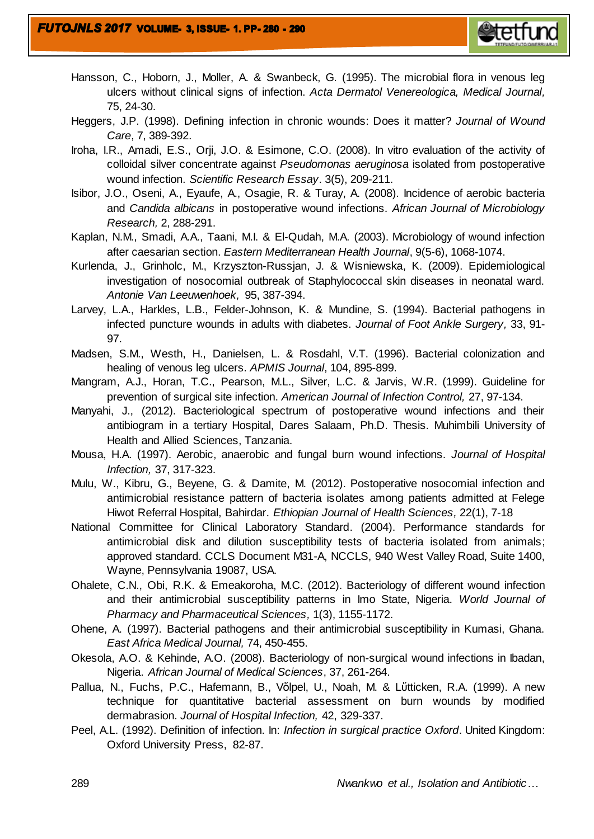Hansson, C., Hoborn, J., Moller, A. & Swanbeck, G. (1995). The microbial flora in venous leg ulcers without clinical signs of infection. *Acta Dermatol Venereologica, Medical Journal,* 75, 24-30.

**etetfund** 

- Heggers, J.P. (1998). Defining infection in chronic wounds: Does it matter? *Journal of Wound Care*, 7, 389-392.
- Iroha, I.R., Amadi, E.S., Orji, J.O. & Esimone, C.O. (2008). In vitro evaluation of the activity of colloidal silver concentrate against *Pseudomonas aeruginosa* isolated from postoperative wound infection. *Scientific Research Essay*. 3(5), 209-211.
- Isibor, J.O., Oseni, A., Eyaufe, A., Osagie, R. & Turay, A. (2008). Incidence of aerobic bacteria and *Candida albicans* in postoperative wound infections. *African Journal of Microbiology Research,* 2, 288-291.
- Kaplan, N.M., Smadi, A.A., Taani, M.I. & El-Qudah, M.A. (2003). Microbiology of wound infection after caesarian section. *Eastern Mediterranean Health Journal*, 9(5-6), 1068-1074.
- Kurlenda, J., Grinholc, M., Krzyszton-Russjan, J. & Wisniewska, K. (2009). Epidemiological investigation of nosocomial outbreak of Staphylococcal skin diseases in neonatal ward. *Antonie Van Leeuwenhoek,* 95, 387-394.
- Larvey, L.A., Harkles, L.B., Felder-Johnson, K. & Mundine, S. (1994). Bacterial pathogens in infected puncture wounds in adults with diabetes. *Journal of Foot Ankle Surgery,* 33, 91- 97.
- Madsen, S.M., Westh, H., Danielsen, L. & Rosdahl, V.T. (1996). Bacterial colonization and healing of venous leg ulcers. *APMIS Journal*, 104, 895-899.
- Mangram, A.J., Horan, T.C., Pearson, M.L., Silver, L.C. & Jarvis, W.R. (1999). Guideline for prevention of surgical site infection. *American Journal of Infection Control,* 27, 97-134.
- Manyahi, J., (2012). Bacteriological spectrum of postoperative wound infections and their antibiogram in a tertiary Hospital, Dares Salaam, Ph.D. Thesis. Muhimbili University of Health and Allied Sciences, Tanzania.
- Mousa, H.A. (1997). Aerobic, anaerobic and fungal burn wound infections. *Journal of Hospital Infection,* 37, 317-323.
- Mulu, W., Kibru, G., Beyene, G. & Damite, M. (2012). Postoperative nosocomial infection and antimicrobial resistance pattern of bacteria isolates among patients admitted at Felege Hiwot Referral Hospital, Bahirdar. *Ethiopian Journal of Health Sciences,* 22(1), 7-18
- National Committee for Clinical Laboratory Standard. (2004). Performance standards for antimicrobial disk and dilution susceptibility tests of bacteria isolated from animals; approved standard. CCLS Document M31-A, NCCLS, 940 West Valley Road, Suite 1400, Wayne, Pennsylvania 19087, USA.
- Ohalete, C.N., Obi, R.K. & Emeakoroha, M.C. (2012). Bacteriology of different wound infection and their antimicrobial susceptibility patterns in Imo State, Nigeria. *World Journal of Pharmacy and Pharmaceutical Sciences,* 1(3), 1155-1172.
- Ohene, A. (1997). Bacterial pathogens and their antimicrobial susceptibility in Kumasi, Ghana. *East Africa Medical Journal,* 74, 450-455.
- Okesola, A.O. & Kehinde, A.O. (2008). Bacteriology of non-surgical wound infections in Ibadan, Nigeria. *African Journal of Medical Sciences*, 37, 261-264.
- Pallua, N., Fuchs, P.C., Hafemann, B., Vὅlpel, U., Noah, M. & Lὕtticken, R.A. (1999). A new technique for quantitative bacterial assessment on burn wounds by modified dermabrasion. *Journal of Hospital Infection,* 42, 329-337.
- Peel, A.L. (1992). Definition of infection. In: *Infection in surgical practice Oxford*. United Kingdom: Oxford University Press, 82-87.